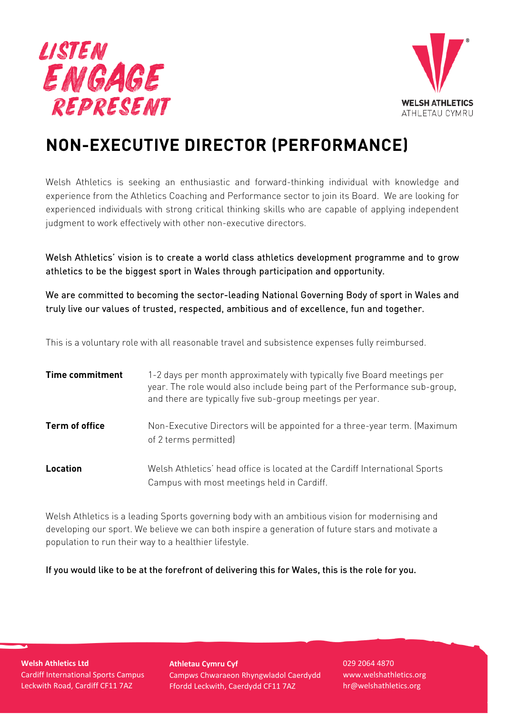



# **NON-EXECUTIVE DIRECTOR (PERFORMANCE)**

Welsh Athletics is seeking an enthusiastic and forward-thinking individual with knowledge and experience from the Athletics Coaching and Performance sector to join its Board. We are looking for experienced individuals with strong critical thinking skills who are capable of applying independent judgment to work effectively with other non-executive directors.

Welsh Athletics' vision is to create a world class athletics development programme and to grow athletics to be the biggest sport in Wales through participation and opportunity.

We are committed to becoming the sector-leading National Governing Body of sport in Wales and truly live our values of trusted, respected, ambitious and of excellence, fun and together.

This is a voluntary role with all reasonable travel and subsistence expenses fully reimbursed.

| <b>Time commitment</b> | 1-2 days per month approximately with typically five Board meetings per<br>year. The role would also include being part of the Performance sub-group,<br>and there are typically five sub-group meetings per year. |
|------------------------|--------------------------------------------------------------------------------------------------------------------------------------------------------------------------------------------------------------------|
| Term of office         | Non-Executive Directors will be appointed for a three-year term. (Maximum<br>of 2 terms permitted)                                                                                                                 |
| Location               | Welsh Athletics' head office is located at the Cardiff International Sports<br>Campus with most meetings held in Cardiff.                                                                                          |

Welsh Athletics is a leading Sports governing body with an ambitious vision for modernising and developing our sport. We believe we can both inspire a generation of future stars and motivate a population to run their way to a healthier lifestyle.

If you would like to be at the forefront of delivering this for Wales, this is the role for you.

**Welsh Athletics Ltd** Cardiff International Sports Campus Leckwith Road, Cardiff CF11 7AZ

**Athletau Cymru Cyf** Campws Chwaraeon Rhyngwladol Caerdydd Ffordd Leckwith, Caerdydd CF11 7AZ

029 2064 4870 www.welshathletics.org hr@welshathletics.org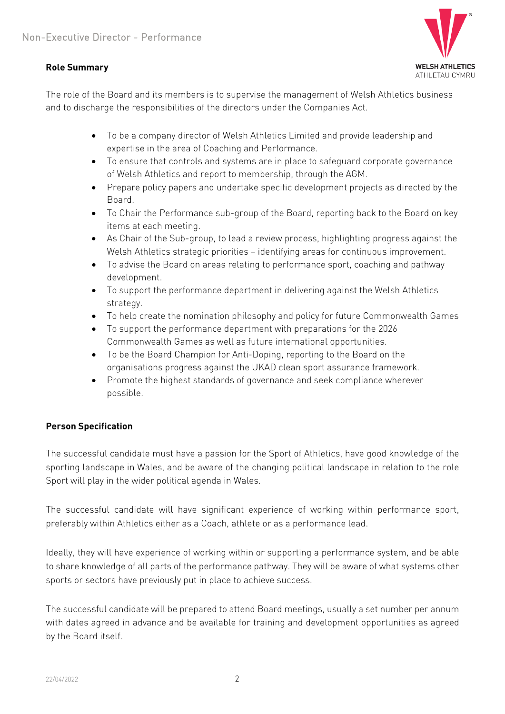## **Role Summary**



The role of the Board and its members is to supervise the management of Welsh Athletics business and to discharge the responsibilities of the directors under the Companies Act.

- To be a company director of Welsh Athletics Limited and provide leadership and expertise in the area of Coaching and Performance.
- To ensure that controls and systems are in place to safeguard corporate governance of Welsh Athletics and report to membership, through the AGM.
- Prepare policy papers and undertake specific development projects as directed by the Board.
- To Chair the Performance sub-group of the Board, reporting back to the Board on key items at each meeting.
- As Chair of the Sub-group, to lead a review process, highlighting progress against the Welsh Athletics strategic priorities – identifying areas for continuous improvement.
- To advise the Board on areas relating to performance sport, coaching and pathway development.
- To support the performance department in delivering against the Welsh Athletics strategy.
- To help create the nomination philosophy and policy for future Commonwealth Games
- To support the performance department with preparations for the 2026 Commonwealth Games as well as future international opportunities.
- To be the Board Champion for Anti-Doping, reporting to the Board on the organisations progress against the UKAD clean sport assurance framework.
- Promote the highest standards of governance and seek compliance wherever possible.

# **Person Specification**

The successful candidate must have a passion for the Sport of Athletics, have good knowledge of the sporting landscape in Wales, and be aware of the changing political landscape in relation to the role Sport will play in the wider political agenda in Wales.

The successful candidate will have significant experience of working within performance sport, preferably within Athletics either as a Coach, athlete or as a performance lead.

Ideally, they will have experience of working within or supporting a performance system, and be able to share knowledge of all parts of the performance pathway. They will be aware of what systems other sports or sectors have previously put in place to achieve success.

The successful candidate will be prepared to attend Board meetings, usually a set number per annum with dates agreed in advance and be available for training and development opportunities as agreed by the Board itself.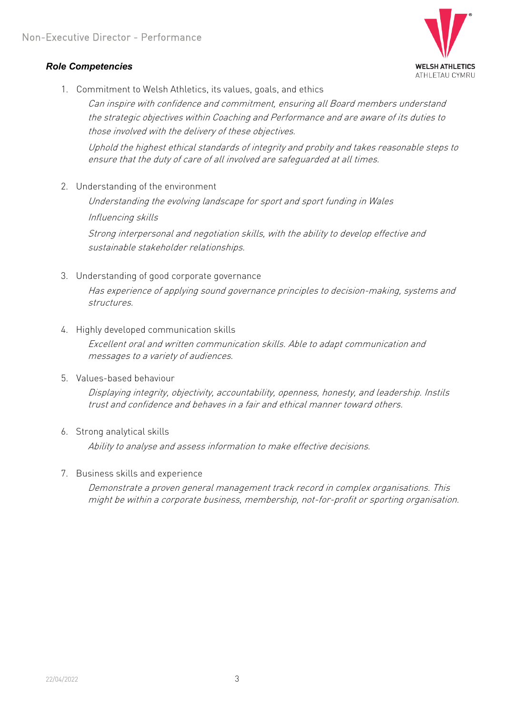## *Role Competencies*



1. Commitment to Welsh Athletics, its values, goals, and ethics

Can inspire with confidence and commitment, ensuring all Board members understand the strategic objectives within Coaching and Performance and are aware of its duties to those involved with the delivery of these objectives.

Uphold the highest ethical standards of integrity and probity and takes reasonable steps to ensure that the duty of care of all involved are safeguarded at all times.

2. Understanding of the environment

Understanding the evolving landscape for sport and sport funding in Wales Influencing skills

Strong interpersonal and negotiation skills, with the ability to develop effective and sustainable stakeholder relationships.

3. Understanding of good corporate governance

Has experience of applying sound governance principles to decision-making, systems and structures.

4. Highly developed communication skills

Excellent oral and written communication skills. Able to adapt communication and messages to a variety of audiences.

5. Values-based behaviour

Displaying integrity, objectivity, accountability, openness, honesty, and leadership. Instils trust and confidence and behaves in a fair and ethical manner toward others.

6. Strong analytical skills

Ability to analyse and assess information to make effective decisions.

7. Business skills and experience

Demonstrate a proven general management track record in complex organisations. This might be within a corporate business, membership, not-for-profit or sporting organisation.